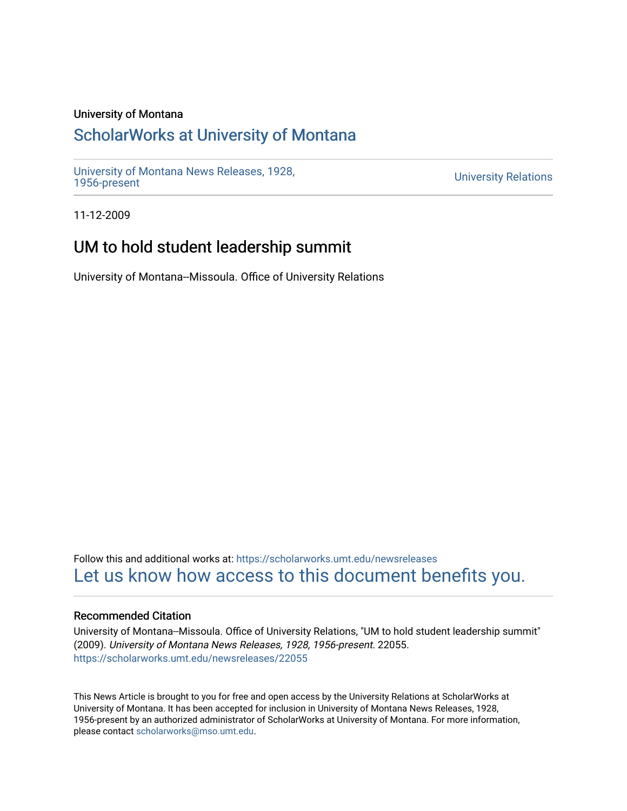#### University of Montana

# [ScholarWorks at University of Montana](https://scholarworks.umt.edu/)

[University of Montana News Releases, 1928,](https://scholarworks.umt.edu/newsreleases) 

**University Relations** 

11-12-2009

## UM to hold student leadership summit

University of Montana--Missoula. Office of University Relations

Follow this and additional works at: [https://scholarworks.umt.edu/newsreleases](https://scholarworks.umt.edu/newsreleases?utm_source=scholarworks.umt.edu%2Fnewsreleases%2F22055&utm_medium=PDF&utm_campaign=PDFCoverPages) [Let us know how access to this document benefits you.](https://goo.gl/forms/s2rGfXOLzz71qgsB2) 

#### Recommended Citation

University of Montana--Missoula. Office of University Relations, "UM to hold student leadership summit" (2009). University of Montana News Releases, 1928, 1956-present. 22055. [https://scholarworks.umt.edu/newsreleases/22055](https://scholarworks.umt.edu/newsreleases/22055?utm_source=scholarworks.umt.edu%2Fnewsreleases%2F22055&utm_medium=PDF&utm_campaign=PDFCoverPages) 

This News Article is brought to you for free and open access by the University Relations at ScholarWorks at University of Montana. It has been accepted for inclusion in University of Montana News Releases, 1928, 1956-present by an authorized administrator of ScholarWorks at University of Montana. For more information, please contact [scholarworks@mso.umt.edu.](mailto:scholarworks@mso.umt.edu)